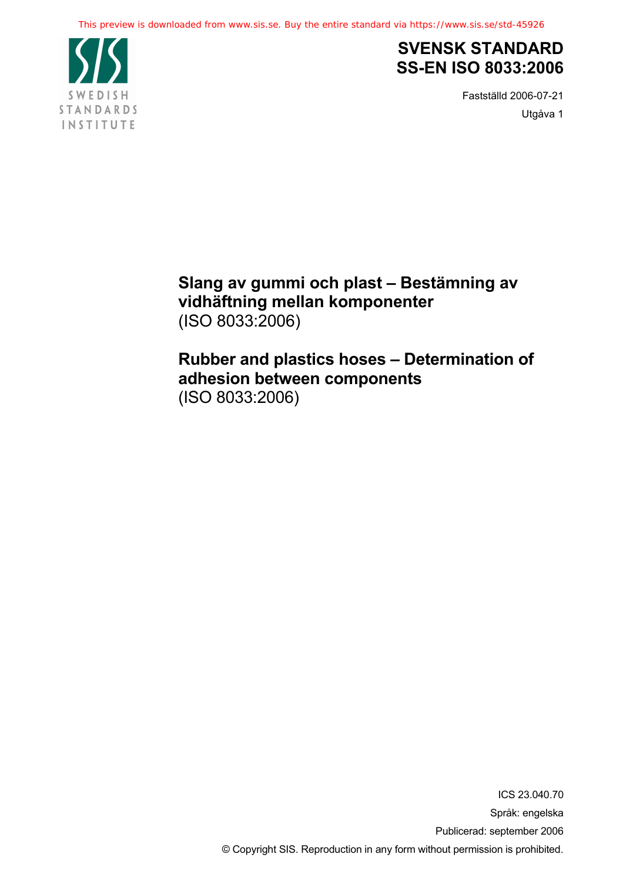

# **SVENSK STANDARD SS-EN ISO 8033:2006**

Fastställd 2006-07-21 Utgåva 1

**Slang av gummi och plast – Bestämning av vidhäftning mellan komponenter** (ISO 8033:2006)

**Rubber and plastics hoses – Determination of adhesion between components**  (ISO 8033:2006)

> ICS 23.040.70 Språk: engelska Publicerad: september 2006 © Copyright SIS. Reproduction in any form without permission is prohibited.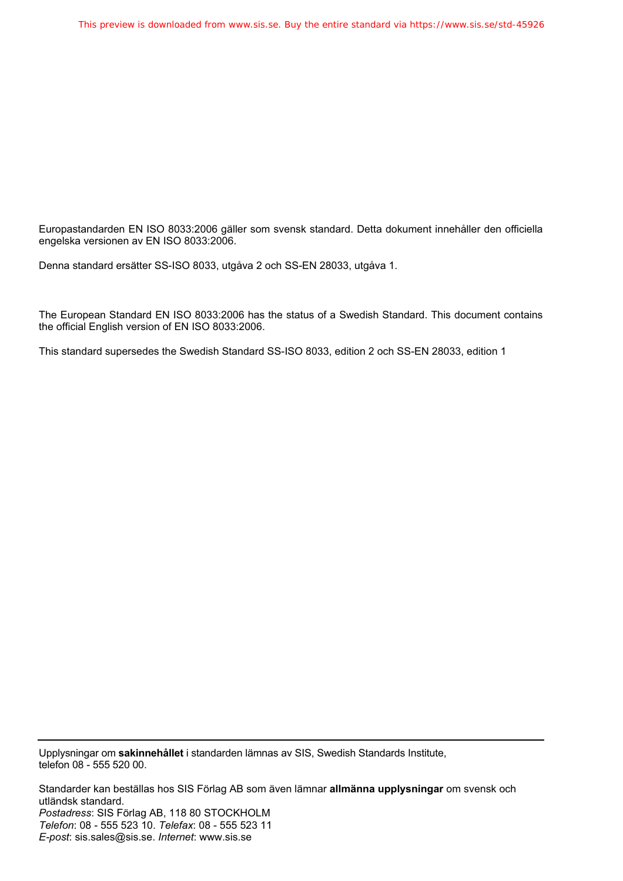Europastandarden EN ISO 8033:2006 gäller som svensk standard. Detta dokument innehåller den officiella engelska versionen av EN ISO 8033:2006.

Denna standard ersätter SS-ISO 8033, utgåva 2 och SS-EN 28033, utgåva 1.

The European Standard EN ISO 8033:2006 has the status of a Swedish Standard. This document contains the official English version of EN ISO 8033:2006.

This standard supersedes the Swedish Standard SS-ISO 8033, edition 2 och SS-EN 28033, edition 1

Upplysningar om **sakinnehållet** i standarden lämnas av SIS, Swedish Standards Institute, telefon 08 - 555 520 00.

Standarder kan beställas hos SIS Förlag AB som även lämnar **allmänna upplysningar** om svensk och utländsk standard. *Postadress*: SIS Förlag AB, 118 80 STOCKHOLM *Telefon*: 08 - 555 523 10. *Telefax*: 08 - 555 523 11 *E-post*: sis.sales@sis.se. *Internet*: www.sis.se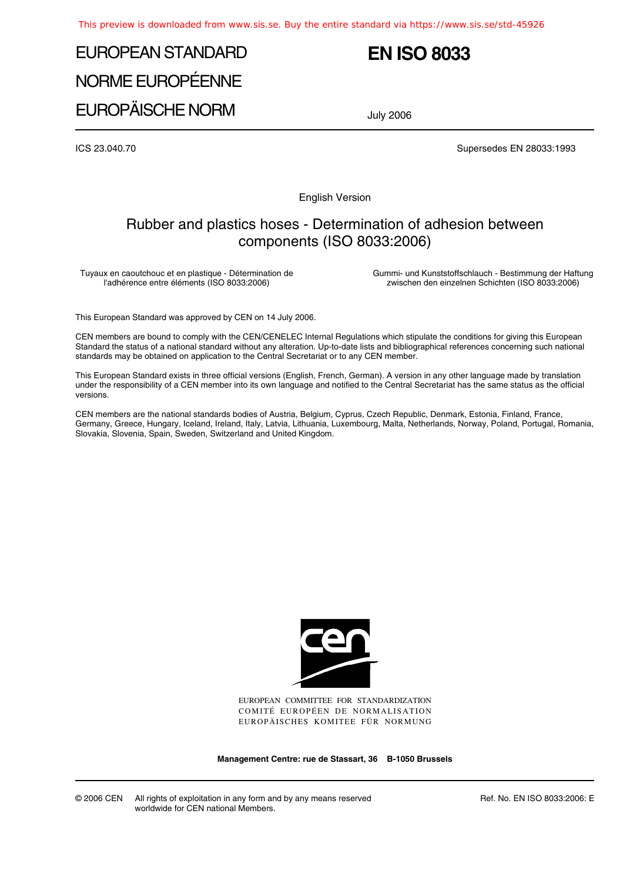# EUROPEAN STANDARD NORME EUROPÉENNE EUROPÄISCHE NORM

# **EN ISO 8033**

July 2006

ICS 23.040.70 Supersedes EN 28033:1993

English Version

## Rubber and plastics hoses - Determination of adhesion between components (ISO 8033:2006)

Tuyaux en caoutchouc et en plastique - Détermination de l'adhérence entre éléments (ISO 8033:2006)

Gummi- und Kunststoffschlauch - Bestimmung der Haftung zwischen den einzelnen Schichten (ISO 8033:2006)

This European Standard was approved by CEN on 14 July 2006.

CEN members are bound to comply with the CEN/CENELEC Internal Regulations which stipulate the conditions for giving this European Standard the status of a national standard without any alteration. Up-to-date lists and bibliographical references concerning such national standards may be obtained on application to the Central Secretariat or to any CEN member.

This European Standard exists in three official versions (English, French, German). A version in any other language made by translation under the responsibility of a CEN member into its own language and notified to the Central Secretariat has the same status as the official versions.

CEN members are the national standards bodies of Austria, Belgium, Cyprus, Czech Republic, Denmark, Estonia, Finland, France, Germany, Greece, Hungary, Iceland, Ireland, Italy, Latvia, Lithuania, Luxembourg, Malta, Netherlands, Norway, Poland, Portugal, Romania, Slovakia, Slovenia, Spain, Sweden, Switzerland and United Kingdom.



EUROPEAN COMMITTEE FOR STANDARDIZATION COMITÉ EUROPÉEN DE NORMALISATION EUROPÄISCHES KOMITEE FÜR NORMUNG

**Management Centre: rue de Stassart, 36 B-1050 Brussels**

© 2006 CEN All rights of exploitation in any form and by any means reserved worldwide for CEN national Members.

Ref. No. EN ISO 8033:2006: E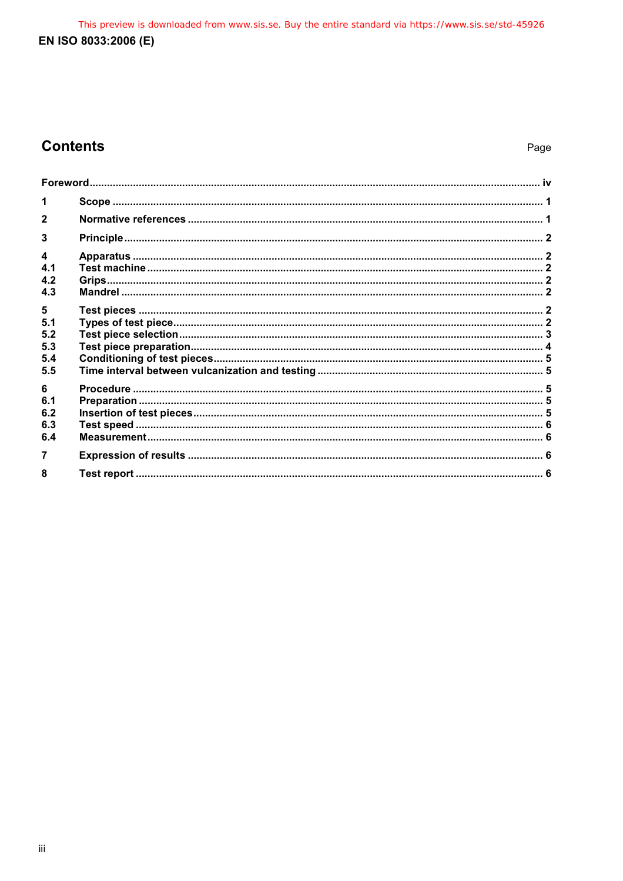This preview is downloaded from www.sis.se. Buy the entire standard via https://www.sis.se/std-45926 EN ISO 8033:2006 (E)

## **Contents**

| 1                                           |  |  |
|---------------------------------------------|--|--|
|                                             |  |  |
|                                             |  |  |
| $\overline{\mathbf{4}}$<br>$\overline{4}$ 1 |  |  |
| 4.2<br>4.3                                  |  |  |
| 5<br>5.1<br>5.2<br>5.3<br>5.4<br>5.5        |  |  |
| 6<br>6.1<br>6.2<br>6.3<br>6.4               |  |  |
|                                             |  |  |
| 8                                           |  |  |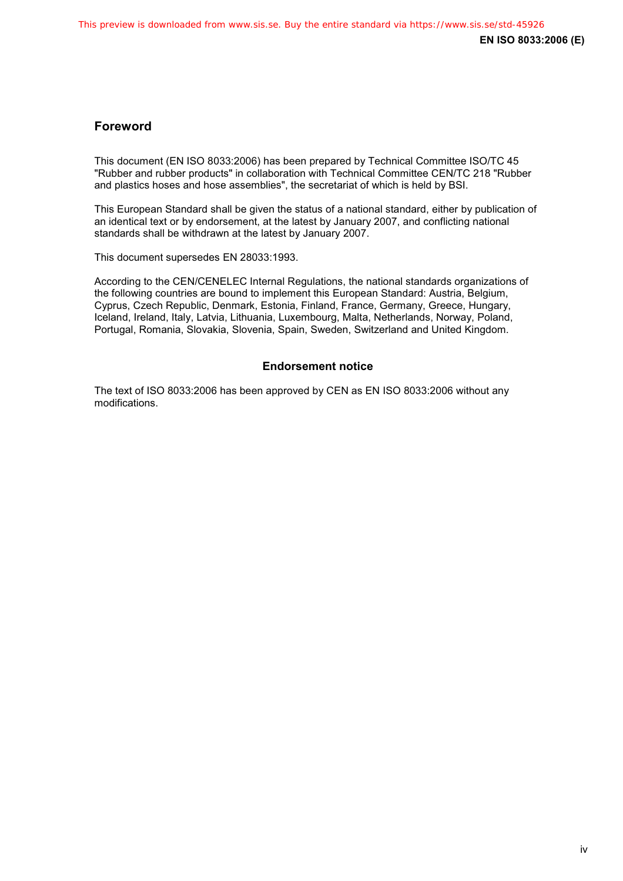## **Foreword**

This document (EN ISO 8033:2006) has been prepared by Technical Committee ISO/TC 45 "Rubber and rubber products" in collaboration with Technical Committee CEN/TC 218 "Rubber and plastics hoses and hose assemblies", the secretariat of which is held by BSI.

This European Standard shall be given the status of a national standard, either by publication of an identical text or by endorsement, at the latest by January 2007, and conflicting national standards shall be withdrawn at the latest by January 2007.

This document supersedes EN 28033:1993.

According to the CEN/CENELEC Internal Regulations, the national standards organizations of the following countries are bound to implement this European Standard: Austria, Belgium, Cyprus, Czech Republic, Denmark, Estonia, Finland, France, Germany, Greece, Hungary, Iceland, Ireland, Italy, Latvia, Lithuania, Luxembourg, Malta, Netherlands, Norway, Poland, Portugal, Romania, Slovakia, Slovenia, Spain, Sweden, Switzerland and United Kingdom.

## **Endorsement notice**

The text of ISO 8033:2006 has been approved by CEN as EN ISO 8033:2006 without any modifications.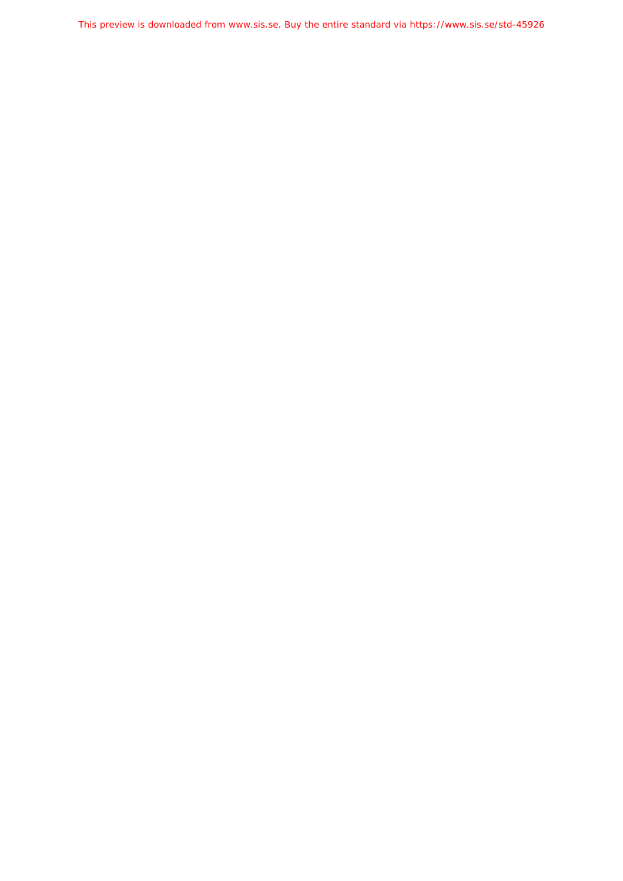This preview is downloaded from www.sis.se. Buy the entire standard via https://www.sis.se/std-45926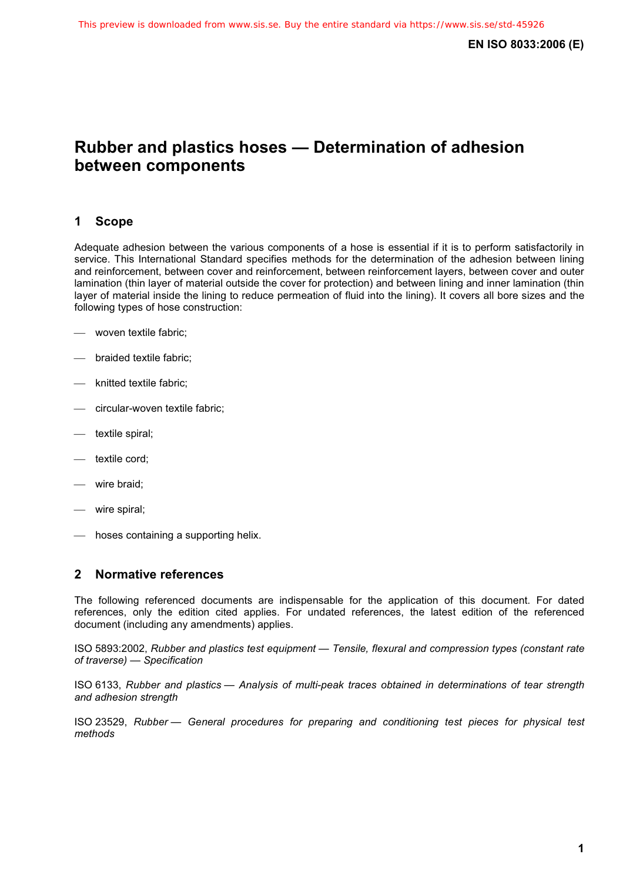## **Rubber and plastics hoses — Determination of adhesion between components**

## **1 Scope**

Adequate adhesion between the various components of a hose is essential if it is to perform satisfactorily in service. This International Standard specifies methods for the determination of the adhesion between lining and reinforcement, between cover and reinforcement, between reinforcement layers, between cover and outer lamination (thin layer of material outside the cover for protection) and between lining and inner lamination (thin layer of material inside the lining to reduce permeation of fluid into the lining). It covers all bore sizes and the following types of hose construction:

- woven textile fabric;
- braided textile fabric;
- knitted textile fabric;
- circular-woven textile fabric;
- textile spiral;
- textile cord;
- wire braid;
- wire spiral;
- hoses containing a supporting helix.

## **2 Normative references**

The following referenced documents are indispensable for the application of this document. For dated references, only the edition cited applies. For undated references, the latest edition of the referenced document (including any amendments) applies.

ISO 5893:2002, *Rubber and plastics test equipment — Tensile, flexural and compression types (constant rate of traverse) — Specification*

ISO 6133, *Rubber and plastics — Analysis of multi-peak traces obtained in determinations of tear strength and adhesion strength*

ISO 23529, *Rubber — General procedures for preparing and conditioning test pieces for physical test methods*